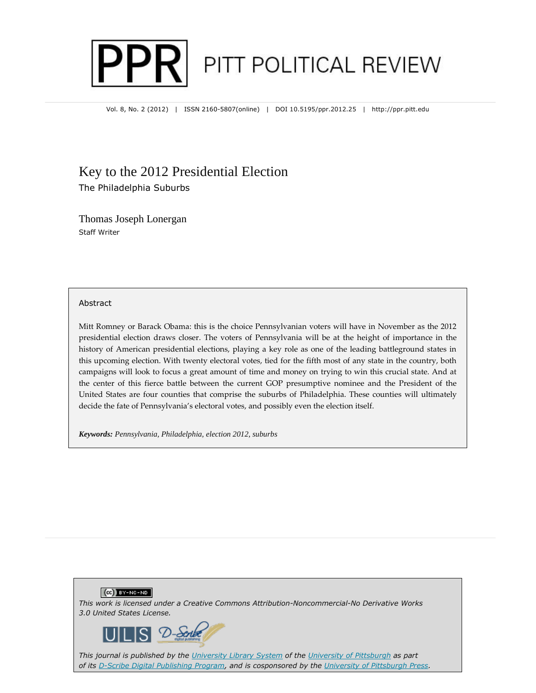

Vol. 8, No. 2 (2012) | ISSN 2160-5807(online) | DOI 10.5195/ppr.2012.25 | http://ppr.pitt.edu

## Key to the 2012 Presidential Election

The Philadelphia Suburbs

Thomas Joseph Lonergan Staff Writer

### Abstract

Mitt Romney or Barack Obama: this is the choice Pennsylvanian voters will have in November as the 2012 presidential election draws closer. The voters of Pennsylvania will be at the height of importance in the history of American presidential elections, playing a key role as one of the leading battleground states in this upcoming election. With twenty electoral votes, tied for the fifth most of any state in the country, both campaigns will look to focus a great amount of time and money on trying to win this crucial state. And at the center of this fierce battle between the current GOP presumptive nominee and the President of the United States are four counties that comprise the suburbs of Philadelphia. These counties will ultimately decide the fate of Pennsylvania's electoral votes, and possibly even the election itself.

*Keywords: Pennsylvania, Philadelphia, election 2012, suburbs*



*This journal is published by the University Library System of the University of Pittsburgh as part of its D-Scribe Digital Publishing Program, and is cosponsored by the University of Pittsburgh Press.*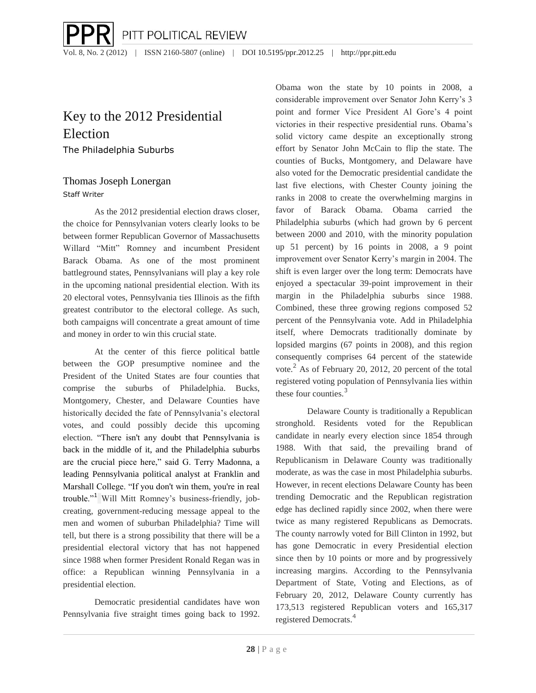PITT POLITICAL REVIEW Vol. 8, No. 2 (2012) | ISSN 2160-5807 (online) | DOI 10.5195/ppr.2012.25 | http://ppr.pitt.edu

### Key to the 2012 Presidential Election The Philadelphia Suburbs

# Thomas Joseph Lonergan

Staff Writer

As the 2012 presidential election draws closer, the choice for Pennsylvanian voters clearly looks to be between former Republican Governor of Massachusetts Willard "Mitt" Romney and incumbent President Barack Obama. As one of the most prominent battleground states, Pennsylvanians will play a key role in the upcoming national presidential election. With its 20 electoral votes, Pennsylvania ties Illinois as the fifth greatest contributor to the electoral college. As such, both campaigns will concentrate a great amount of time and money in order to win this crucial state.

At the center of this fierce political battle between the GOP presumptive nominee and the President of the United States are four counties that comprise the suburbs of Philadelphia. Bucks, Montgomery, Chester, and Delaware Counties have historically decided the fate of Pennsylvania's electoral votes, and could possibly decide this upcoming election. "There isn't any doubt that Pennsylvania is back in the middle of it, and the Philadelphia suburbs are the crucial piece here," said G. Terry Madonna, a leading Pennsylvania political analyst at Franklin and Marshall College. "If you don't win them, you're in real trouble."<sup>1</sup> Will Mitt Romney's business-friendly, jobcreating, government-reducing message appeal to the men and women of suburban Philadelphia? Time will tell, but there is a strong possibility that there will be a presidential electoral victory that has not happened since 1988 when former President Ronald Regan was in office: a Republican winning Pennsylvania in a presidential election.

Democratic presidential candidates have won Pennsylvania five straight times going back to 1992.

Obama won the state by 10 points in 2008, a considerable improvement over Senator John Kerry's 3 point and former Vice President Al Gore's 4 point victories in their respective presidential runs. Obama's solid victory came despite an exceptionally strong effort by Senator John McCain to flip the state. The counties of Bucks, Montgomery, and Delaware have also voted for the Democratic presidential candidate the last five elections, with Chester County joining the ranks in 2008 to create the overwhelming margins in favor of Barack Obama. Obama carried the Philadelphia suburbs (which had grown by 6 percent between 2000 and 2010, with the minority population up 51 percent) by 16 points in 2008, a 9 point improvement over Senator Kerry's margin in 2004. The shift is even larger over the long term: Democrats have enjoyed a spectacular 39-point improvement in their margin in the Philadelphia suburbs since 1988. Combined, these three growing regions composed 52 percent of the Pennsylvania vote. Add in Philadelphia itself, where Democrats traditionally dominate by lopsided margins (67 points in 2008), and this region consequently comprises 64 percent of the statewide vote.<sup>2</sup> As of February 20, 2012, 20 percent of the total registered voting population of Pennsylvania lies within these four counties.<sup>3</sup>

Delaware County is traditionally a Republican stronghold. Residents voted for the Republican candidate in nearly every election since 1854 through 1988. With that said, the prevailing brand of Republicanism in Delaware County was traditionally moderate, as was the case in most Philadelphia suburbs. However, in recent elections Delaware County has been trending Democratic and the Republican registration edge has declined rapidly since 2002, when there were twice as many registered Republicans as Democrats. The county narrowly voted for Bill Clinton in 1992, but has gone Democratic in every Presidential election since then by 10 points or more and by progressively increasing margins. According to the Pennsylvania Department of State, Voting and Elections, as of February 20, 2012, Delaware County currently has 173,513 registered Republican voters and 165,317 registered Democrats.<sup>4</sup>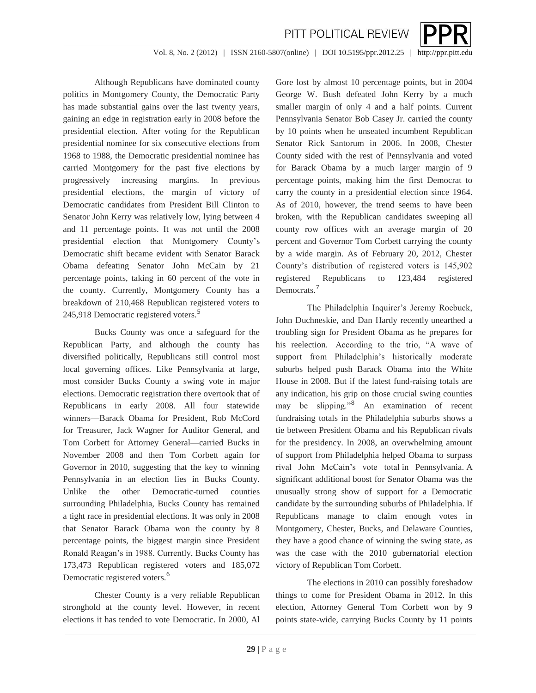

Vol. 8, No. 2 (2012) | ISSN 2160-5807(online) | DOI 10.5195/ppr.2012.25 | http://ppr.pitt.edu

Although Republicans have dominated county politics in Montgomery County, the Democratic Party has made substantial gains over the last twenty years, gaining an edge in registration early in 2008 before the presidential election. After voting for the Republican presidential nominee for six consecutive elections from 1968 to 1988, the Democratic presidential nominee has carried Montgomery for the past five elections by progressively increasing margins. In previous presidential elections, the margin of victory of Democratic candidates from President Bill Clinton to Senator John Kerry was relatively low, lying between 4 and 11 percentage points. It was not until the 2008 presidential election that Montgomery County's Democratic shift became evident with Senator Barack Obama defeating Senator John McCain by 21 percentage points, taking in 60 percent of the vote in the county. Currently, Montgomery County has a breakdown of 210,468 Republican registered voters to 245,918 Democratic registered voters.<sup>5</sup>

Bucks County was once a safeguard for the Republican Party, and although the county has diversified politically, Republicans still control most local governing offices. Like Pennsylvania at large, most consider Bucks County a swing vote in major elections. Democratic registration there overtook that of Republicans in early 2008. All four statewide winners—Barack Obama for President, Rob McCord for Treasurer, Jack Wagner for Auditor General, and Tom Corbett for Attorney General—carried Bucks in November 2008 and then Tom Corbett again for Governor in 2010, suggesting that the key to winning Pennsylvania in an election lies in Bucks County. Unlike the other Democratic-turned counties surrounding Philadelphia, Bucks County has remained a tight race in presidential elections. It was only in 2008 that Senator Barack Obama won the county by 8 percentage points, the biggest margin since President Ronald Reagan's in 1988. Currently, Bucks County has 173,473 Republican registered voters and 185,072 Democratic registered voters.<sup>6</sup>

Chester County is a very reliable Republican stronghold at the county level. However, in recent elections it has tended to vote Democratic. In 2000, Al

Gore lost by almost 10 percentage points, but in 2004 George W. Bush defeated John Kerry by a much smaller margin of only 4 and a half points. Current Pennsylvania Senator Bob Casey Jr. carried the county by 10 points when he unseated incumbent Republican Senator Rick Santorum in 2006. In 2008, Chester County sided with the rest of Pennsylvania and voted for Barack Obama by a much larger margin of 9 percentage points, making him the first Democrat to carry the county in a presidential election since 1964. As of 2010, however, the trend seems to have been broken, with the Republican candidates sweeping all county row offices with an average margin of 20 percent and Governor Tom Corbett carrying the county by a wide margin. As of February 20, 2012, Chester County's distribution of registered voters is 145,902 registered Republicans to 123,484 registered Democrats.<sup>7</sup>

The Philadelphia Inquirer's Jeremy Roebuck, John Duchneskie, and Dan Hardy recently unearthed a troubling sign for President Obama as he prepares for his reelection. According to the trio, "A wave of support from Philadelphia's historically moderate suburbs helped push Barack Obama into the White House in 2008. But if the latest fund-raising totals are any indication, his grip on those crucial swing counties may be slipping."<sup>8</sup> An examination of recent fundraising totals in the Philadelphia suburbs shows a tie between President Obama and his Republican rivals for the presidency. In 2008, an overwhelming amount of support from Philadelphia helped Obama to surpass rival John McCain's vote total in Pennsylvania. A significant additional boost for Senator Obama was the unusually strong show of support for a Democratic candidate by the surrounding suburbs of Philadelphia. If Republicans manage to claim enough votes in Montgomery, Chester, Bucks, and Delaware Counties, they have a good chance of winning the swing state, as was the case with the 2010 gubernatorial election victory of Republican Tom Corbett.

The elections in 2010 can possibly foreshadow things to come for President Obama in 2012. In this election, Attorney General Tom Corbett won by 9 points state-wide, carrying Bucks County by 11 points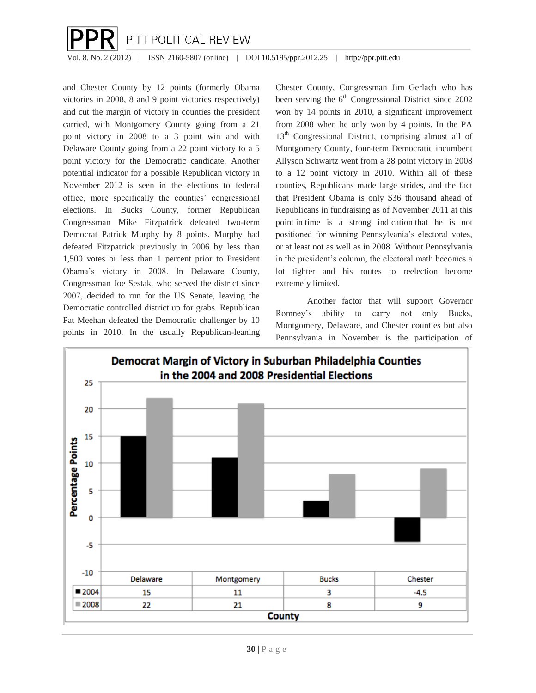

Vol. 8, No. 2 (2012) | ISSN 2160-5807 (online) | DOI 10.5195/ppr.2012.25 | http://ppr.pitt.edu

and Chester County by 12 points (formerly Obama victories in 2008, 8 and 9 point victories respectively) and cut the margin of victory in counties the president carried, with Montgomery County going from a 21 point victory in 2008 to a 3 point win and with Delaware County going from a 22 point victory to a 5 point victory for the Democratic candidate. Another potential indicator for a possible Republican victory in November 2012 is seen in the elections to federal office, more specifically the counties' congressional elections. In Bucks County, former Republican Congressman Mike Fitzpatrick defeated two-term Democrat Patrick Murphy by 8 points. Murphy had defeated Fitzpatrick previously in 2006 by less than 1,500 votes or less than 1 percent prior to President Obama's victory in 2008. In Delaware County, Congressman Joe Sestak, who served the district since 2007, decided to run for the US Senate, leaving the Democratic controlled district up for grabs. Republican Pat Meehan defeated the Democratic challenger by 10 points in 2010. In the usually Republican-leaning

Chester County, Congressman Jim Gerlach who has been serving the  $6<sup>th</sup>$  Congressional District since 2002 won by 14 points in 2010, a significant improvement from 2008 when he only won by 4 points. In the PA 13<sup>th</sup> Congressional District, comprising almost all of Montgomery County, four-term Democratic incumbent Allyson Schwartz went from a 28 point victory in 2008 to a 12 point victory in 2010. Within all of these counties, Republicans made large strides, and the fact that President Obama is only \$36 thousand ahead of Republicans in fundraising as of November 2011 at this point in time is a strong indication that he is not positioned for winning Pennsylvania's electoral votes, or at least not as well as in 2008. Without Pennsylvania in the president's column, the electoral math becomes a lot tighter and his routes to reelection become extremely limited.

Another factor that will support Governor Romney's ability to carry not only Bucks, Montgomery, Delaware, and Chester counties but also Pennsylvania in November is the participation of

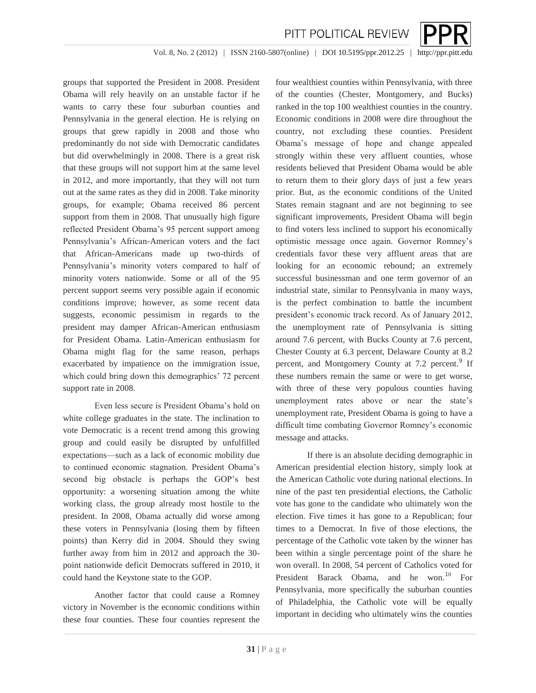

Vol. 8, No. 2 (2012) | ISSN 2160-5807(online) | DOI 10.5195/ppr.2012.25 | http://ppr.pitt.edu

PITT POLITICAL REVIEW

groups that supported the President in 2008. President Obama will rely heavily on an unstable factor if he wants to carry these four suburban counties and Pennsylvania in the general election. He is relying on groups that grew rapidly in 2008 and those who predominantly do not side with Democratic candidates but did overwhelmingly in 2008. There is a great risk that these groups will not support him at the same level in 2012, and more importantly, that they will not turn out at the same rates as they did in 2008. Take minority groups, for example; Obama received 86 percent support from them in 2008. That unusually high figure reflected President Obama's 95 percent support among Pennsylvania's African-American voters and the fact that African-Americans made up two-thirds of Pennsylvania's minority voters compared to half of minority voters nationwide. Some or all of the 95 percent support seems very possible again if economic conditions improve; however, as some recent data suggests, economic pessimism in regards to the president may damper African-American enthusiasm for President Obama. Latin-American enthusiasm for Obama might flag for the same reason, perhaps exacerbated by impatience on the immigration issue, which could bring down this demographics' 72 percent support rate in 2008.

Even less secure is President Obama's hold on white college graduates in the state. The inclination to vote Democratic is a recent trend among this growing group and could easily be disrupted by unfulfilled expectations—such as a lack of economic mobility due to continued economic stagnation. President Obama's second big obstacle is perhaps the GOP's best opportunity: a worsening situation among the white working class, the group already most hostile to the president. In 2008, Obama actually did worse among these voters in Pennsylvania (losing them by fifteen points) than Kerry did in 2004. Should they swing further away from him in 2012 and approach the 30 point nationwide deficit Democrats suffered in 2010, it could hand the Keystone state to the GOP.

Another factor that could cause a Romney victory in November is the economic conditions within these four counties. These four counties represent the

four wealthiest counties within Pennsylvania, with three of the counties (Chester, Montgomery, and Bucks) ranked in the top 100 wealthiest counties in the country. Economic conditions in 2008 were dire throughout the country, not excluding these counties. President Obama's message of hope and change appealed strongly within these very affluent counties, whose residents believed that President Obama would be able to return them to their glory days of just a few years prior. But, as the economic conditions of the United States remain stagnant and are not beginning to see significant improvements, President Obama will begin to find voters less inclined to support his economically optimistic message once again. Governor Romney's credentials favor these very affluent areas that are looking for an economic rebound; an extremely successful businessman and one term governor of an industrial state, similar to Pennsylvania in many ways, is the perfect combination to battle the incumbent president's economic track record. As of January 2012, the unemployment rate of Pennsylvania is sitting around 7.6 percent, with Bucks County at 7.6 percent, Chester County at 6.3 percent, Delaware County at 8.2 percent, and Montgomery County at 7.2 percent.<sup>9</sup> If these numbers remain the same or were to get worse, with three of these very populous counties having unemployment rates above or near the state's unemployment rate, President Obama is going to have a difficult time combating Governor Romney's economic message and attacks.

If there is an absolute deciding demographic in American presidential election history, simply look at the American Catholic vote during national elections. In nine of the past ten presidential elections, the Catholic vote has gone to the candidate who ultimately won the election. Five times it has gone to a Republican; four times to a Democrat. In five of those elections, the percentage of the Catholic vote taken by the winner has been within a single percentage point of the share he won overall. In 2008, 54 percent of Catholics voted for President Barack Obama, and he won.<sup>10</sup> For Pennsylvania, more specifically the suburban counties of Philadelphia, the Catholic vote will be equally important in deciding who ultimately wins the counties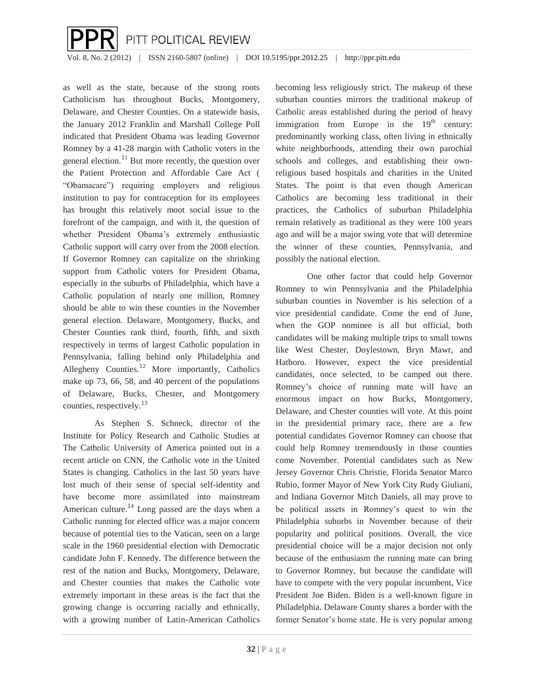

Vol. 8, No. 2 (2012) | ISSN 2160-5807 (online) | DOI 10.5195/ppr.2012.25 | http://ppr.pitt.edu

as well as the state, because of the strong roots Catholicism has throughout Bucks, Montgomery, Delaware, and Chester Counties. On a statewide basis, the January 2012 Franklin and Marshall College Poll indicated that President Obama was leading Governor Romney by a 41-28 margin with Catholic voters in the general election. $^{11}$  But more recently, the question over the Patient Protection and Affordable Care Act ( "Obamacare") requiring employers and religious institution to pay for contraception for its employees has brought this relatively moot social issue to the forefront of the campaign, and with it, the question of whether President Obama's extremely enthusiastic Catholic support will carry over from the 2008 election. If Governor Romney can capitalize on the shrinking support from Catholic voters for President Obama, especially in the suburbs of Philadelphia, which have a Catholic population of nearly one million, Romney should be able to win these counties in the November general election. Delaware, Montgomery, Bucks, and Chester Counties rank third, fourth, fifth, and sixth respectively in terms of largest Catholic population in Pennsylvania, falling behind only Philadelphia and Allegheny Counties.<sup>12</sup> More importantly, Catholics make up 73, 66, 58, and 40 percent of the populations of Delaware, Bucks, Chester, and Montgomery counties, respectively.<sup>1</sup><sup>3</sup>

As Stephen S. Schneck, director of the Institute for Policy Research and Catholic Studies at The Catholic University of America pointed out in a recent article on CNN, the Catholic vote in the United States is changing. Catholics in the last 50 years have lost much of their sense of special self-identity and have become more assimilated into mainstream American culture.<sup>14</sup> Long passed are the days when a Catholic running for elected office was a major concern because of potential ties to the Vatican, seen on a large scale in the 1960 presidential election with Democratic candidate John F. Kennedy. The difference between the rest of the nation and Bucks, Montgomery, Delaware, and Chester counties that makes the Catholic vote extremely important in these areas is the fact that the growing change is occurring racially and ethnically, with a growing number of Latin-American Catholics

becoming less religiously strict. The makeup of these suburban counties mirrors the traditional makeup of Catholic areas established during the period of heavy immigration from Europe in the  $19<sup>th</sup>$  century: predominantly working class, often living in ethnically white neighborhoods, attending their own parochial schools and colleges, and establishing their ownreligious based hospitals and charities in the United States. The point is that even though American Catholics are becoming less traditional in their practices, the Catholics of suburban Philadelphia remain relatively as traditional as they were 100 years ago and will be a major swing vote that will determine the winner of these counties, Pennsylvania, and possibly the national election.

One other factor that could help Governor Romney to win Pennsylvania and the Philadelphia suburban counties in November is his selection of a vice presidential candidate. Come the end of June, when the GOP nominee is all but official, both candidates will be making multiple trips to small towns like West Chester, Doylestown, Bryn Mawr, and Hatboro. However, expect the vice presidential candidates, once selected, to be camped out there. Romney's choice of running mate will have an enormous impact on how Bucks, Montgomery, Delaware, and Chester counties will vote. At this point in the presidential primary race, there are a few potential candidates Governor Romney can choose that could help Romney tremendously in those counties come November. Potential candidates such as New Jersey Governor Chris Christie, Florida Senator Marco Rubio, former Mayor of New York City Rudy Giuliani, and Indiana Governor Mitch Daniels, all may prove to be political assets in Romney's quest to win the Philadelphia suburbs in November because of their popularity and political positions. Overall, the vice presidential choice will be a major decision not only because of the enthusiasm the running mate can bring to Governor Romney, but because the candidate will have to compete with the very popular incumbent, Vice President Joe Biden. Biden is a well-known figure in Philadelphia. Delaware County shares a border with the former Senator's home state. He is very popular among